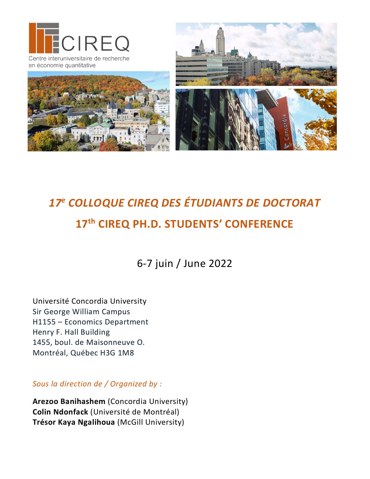

# *17e COLLOQUE CIREQ DES ÉTUDIANTS DE DOCTORAT* **17<sup>th</sup> CIREQ PH.D. STUDENTS' CONFERENCE**

6-7 juin / June 2022

Université Concordia University Sir George William Campus H1155 – Economics Department Henry F. Hall Building 1455, boul. de Maisonneuve O. Montréal, Québec H3G 1M8

*Sous la direction de / Organized by :*

**Arezoo Banihashem** (Concordia University) **Colin Ndonfack** (Université de Montréal) **Trésor Kaya Ngalihoua** (McGill University)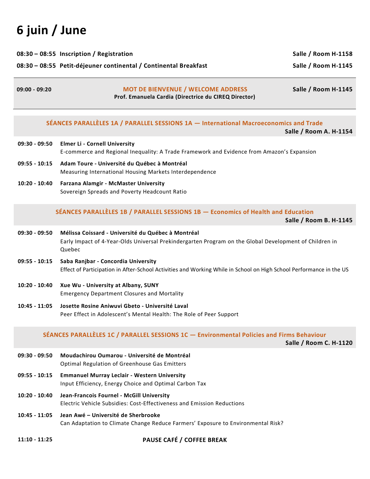# **6 juin / June**

| $09:00 - 09:20$                                                  | <b>MOT DE BIENVENUE / WELCOME ADDRESS</b> | Salle / Room H-1145 |
|------------------------------------------------------------------|-------------------------------------------|---------------------|
| 08:30 - 08:55 Petit-déjeuner continental / Continental Breakfast | Salle / Room H-1145                       |                     |
| 08:30 - 08:55 Inscription / Registration                         | Salle / Room H-1158                       |                     |

**Prof. Emanuela Cardia (Directrice du CIREQ Director)**

#### **SÉANCES PARALLÈLES 1A / PARALLEL SESSIONS 1A — International Macroeconomics and Trade**

**Salle / Room A. H-1154**

- **09:30 - 09:50 Elmer Li - Cornell University** E-commerce and Regional Inequality: A Trade Framework and Evidence from Amazon's Expansion
- **09:55 - 10:15 Adam Toure - Université du Québec à Montréal** Measuring International Housing Markets Interdependence
- **10:20 - 10:40 Farzana Alamgir - McMaster University** Sovereign Spreads and Poverty Headcount Ratio

# **SÉANCES PARALLÈLES 1B / PARALLEL SESSIONS 1B — Economics of Health and Education**

**Salle / Room B. H-1145**

- **09:30 - 09:50 Mélissa Coissard - Université du Québec à Montréal** Early Impact of 4-Year-Olds Universal Prekindergarten Program on the Global Development of Children in Quebec
- **09:55 - 10:15 Saba Ranjbar - Concordia University** Effect of Participation in After-School Activities and Working While in School on High School Performance in the US
- **10:20 - 10:40 Xue Wu - University at Albany, SUNY** Emergency Department Closures and Mortality
- **10:45 - 11:05 Josette Rosine Aniwuvi Gbeto - Université Laval** Peer Effect in Adolescent's Mental Health: The Role of Peer Support

# **SÉANCES PARALLÈLES 1C / PARALLEL SESSIONS 1C — Environmental Policies and Firms Behaviour**

**Salle / Room C. H-1120**

- **09:30 - 09:50 Moudachirou Oumarou - Université de Montréal** Optimal Regulation of Greenhouse Gas Emitters
- **09:55 - 10:15 Emmanuel Murray Leclair - Western University** Input Efficiency, Energy Choice and Optimal Carbon Tax
- **10:20 - 10:40 Jean-Francois Fournel - McGill University** Electric Vehicle Subsidies: Cost-Effectiveness and Emission Reductions
- **10:45 - 11:05 Jean Awé – Université de Sherbrooke** Can Adaptation to Climate Change Reduce Farmers' Exposure to Environmental Risk?
- **11:10 - 11:25 PAUSE CAFÉ / COFFEE BREAK**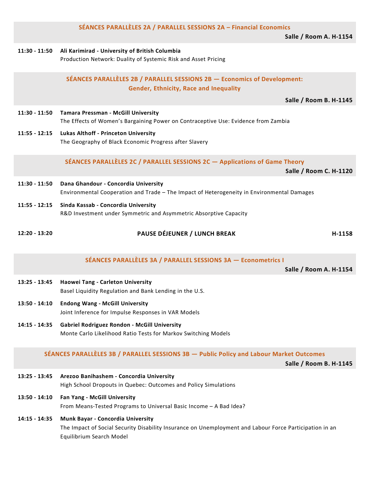| 11:30 - 11:50   | Ali Karimirad - University of British Columbia<br>Production Network: Duality of Systemic Risk and Asset Pricing                   |
|-----------------|------------------------------------------------------------------------------------------------------------------------------------|
|                 | SÉANCES PARALLÈLES 2B / PARALLEL SESSIONS 2B - Economics of Development:<br><b>Gender, Ethnicity, Race and Inequality</b>          |
|                 | <b>Salle / Room B. H-1145</b>                                                                                                      |
| $11:30 - 11:50$ | Tamara Pressman - McGill University<br>The Effects of Women's Bargaining Power on Contraceptive Use: Evidence from Zambia          |
| $11:55 - 12:15$ | <b>Lukas Althoff - Princeton University</b><br>The Geography of Black Economic Progress after Slavery                              |
|                 | SÉANCES PARALLÈLES 2C / PARALLEL SESSIONS 2C - Applications of Game Theory<br>Salle / Room C. H-1120                               |
| $11:30 - 11:50$ | Dana Ghandour - Concordia University<br>Environmental Cooperation and Trade - The Impact of Heterogeneity in Environmental Damages |
| $11:55 - 12:15$ | Sinda Kassab - Concordia University<br>R&D Investment under Symmetric and Asymmetric Absorptive Capacity                           |
| $12:20 - 13:20$ | PAUSE DÉJEUNER / LUNCH BREAK<br>H-1158                                                                                             |
|                 | $SÉANCES DARAILÈIES 3A / DARAILFI SESSIONS 3A - Econometric I$                                                                     |

**SÉANCES PARALLÈLES 2A / PARALLEL SESSIONS 2A – Financial Economics**

**SÉANCES PARALLÈLES 3A / PARALLEL SESSIONS 3A — Econometrics I**

**Salle / Room A. H-1154**

**Salle / Room A. H-1154**

- **13:25 - 13:45 Haowei Tang - Carleton University** Basel Liquidity Regulation and Bank Lending in the U.S.
- **13:50 - 14:10 Endong Wang - McGill University** Joint Inference for Impulse Responses in VAR Models
- **14:15 - 14:35 Gabriel Rodriguez Rondon - McGill University** Monte Carlo Likelihood Ratio Tests for Markov Switching Models

# **SÉANCES PARALLÈLES 3B / PARALLEL SESSIONS 3B — Public Policy and Labour Market Outcomes**

**Salle / Room B. H-1145**

- **13:25 - 13:45 Arezoo Banihashem - Concordia University** High School Dropouts in Quebec: Outcomes and Policy Simulations
- **13:50 - 14:10 Fan Yang - McGill University** From Means-Tested Programs to Universal Basic Income – A Bad Idea?
- **14:15 - 14:35 Munk Bayar - Concordia University** The Impact of Social Security Disability Insurance on Unemployment and Labour Force Participation in an Equilibrium Search Model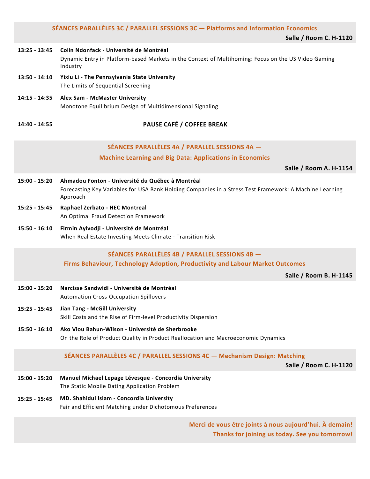|  |  | SÉANCES PARALLÈLES 3C / PARALLEL SESSIONS 3C — Platforms and Information Economics |
|--|--|------------------------------------------------------------------------------------|

**Salle / Room C. H-1120**

#### **13:25 - 13:45 Colin Ndonfack - Université de Montréal** Dynamic Entry in Platform-based Markets in the Context of Multihoming: Focus on the US Video Gaming Industry

- **13:50 - 14:10 Yixiu Li - The Pennsylvania State University** The Limits of Sequential Screening
- **14:15 - 14:35 Alex Sam - McMaster University** Monotone Equilibrium Design of Multidimensional Signaling

# **14:40 - 14:55 PAUSE CAFÉ / COFFEE BREAK**

# **SÉANCES PARALLÈLES 4A / PARALLEL SESSIONS 4A —**

# **Machine Learning and Big Data: Applications in Economics**

**Salle / Room A. H-1154**

- **15:00 - 15:20 Ahmadou Fonton - Université du Québec à Montréal** Forecasting Key Variables for USA Bank Holding Companies in a Stress Test Framework: A Machine Learning Approach
- **15:25 - 15:45 Raphael Zerbato - HEC Montreal** An Optimal Fraud Detection Framework
- **15:50 - 16:10 Firmin Ayivodji - Université de Montréal** When Real Estate Investing Meets Climate - Transition Risk

# **SÉANCES PARALLÈLES 4B / PARALLEL SESSIONS 4B —**

**Firms Behaviour, Technology Adoption, Productivity and Labour Market Outcomes**

**Salle / Room B. H-1145**

- **15:00 - 15:20 Narcisse Sandwidi - Université de Montréal** Automation Cross-Occupation Spillovers
- **15:25 - 15:45 Jian Tang - McGill University** Skill Costs and the Rise of Firm-level Productivity Dispersion
- **15:50 - 16:10 Ako Viou Bahun-Wilson - Université de Sherbrooke** On the Role of Product Quality in Product Reallocation and Macroeconomic Dynamics

# **SÉANCES PARALLÈLES 4C / PARALLEL SESSIONS 4C — Mechanism Design: Matching**

**Salle / Room C. H-1120**

- **15:00 - 15:20 Manuel Michael Lepage Lévesque - Concordia University** The Static Mobile Dating Application Problem
- **15:25 - 15:45 MD. Shahidul Islam - Concordia University** Fair and Efficient Matching under Dichotomous Preferences

**Merci de vous être joints à nous aujourd'hui. À demain! Thanks for joining us today. See you tomorrow!**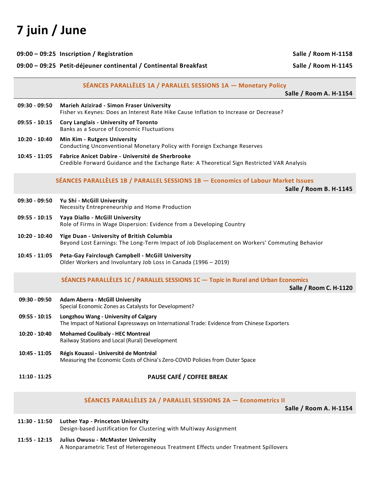# **7 juin / June**

| 09:00 - 09:25 Petit-déjeuner continental / Continental Breakfast |                                                                                                                                                 | Salle / Room H-1145    |
|------------------------------------------------------------------|-------------------------------------------------------------------------------------------------------------------------------------------------|------------------------|
|                                                                  | SÉANCES PARALLÈLES 1A / PARALLEL SESSIONS 1A - Monetary Policy                                                                                  | Salle / Room A. H-1154 |
| $09:30 - 09:50$                                                  | <b>Marieh Azizirad - Simon Fraser University</b><br>Fisher vs Keynes: Does an Interest Rate Hike Cause Inflation to Increase or Decrease?       |                        |
| 09:55 - 10:15                                                    | Cory Langlais - University of Toronto<br>Banks as a Source of Economic Fluctuations                                                             |                        |
| $10:20 - 10:40$                                                  | Min Kim - Rutgers University<br>Conducting Unconventional Monetary Policy with Foreign Exchange Reserves                                        |                        |
| $10:45 - 11:05$                                                  | Fabrice Anicet Dabire - Université de Sherbrooke<br>Credible Forward Guidance and the Exchange Rate: A Theoretical Sign Restricted VAR Analysis |                        |
|                                                                  | SÉANCES PARALLÈLES 1B / PARALLEL SESSIONS 1B - Economics of Labour Market Issues                                                                | Salle / Room B. H-1145 |
| 09:30 - 09:50                                                    | Yu Shi - McGill University<br>Necessity Entrepreneurship and Home Production                                                                    |                        |
| $09:55 - 10:15$                                                  | Yaya Diallo - McGill University<br>Role of Firms in Wage Dispersion: Evidence from a Developing Country                                         |                        |
| $10:20 - 10:40$                                                  | Yige Duan - University of British Columbia<br>Beyond Lost Earnings: The Long-Term Impact of Job Displacement on Workers' Commuting Behavior     |                        |
| $10:45 - 11:05$                                                  | Peta-Gay Fairclough Campbell - McGill University<br>Older Workers and Involuntary Job Loss in Canada (1996 - 2019)                              |                        |
|                                                                  | SÉANCES PARALLÈLES 1C / PARALLEL SESSIONS 1C - Topic in Rural and Urban Economics                                                               | Salle / Room C. H-1120 |
| 09:30 - 09:50                                                    | <b>Adam Aberra - McGill University</b><br>Special Economic Zones as Catalysts for Development?                                                  |                        |
| $09:55 - 10:15$                                                  | Longzhou Wang - University of Calgary<br>The Impact of National Expressways on International Trade: Evidence from Chinese Exporters             |                        |
| 10:20 - 10:40                                                    | <b>Mohamed Coulibaly - HEC Montreal</b><br>Railway Stations and Local (Rural) Development                                                       |                        |
| 10:45 - 11:05                                                    | Régis Kouassi - Université de Montréal<br>Measuring the Economic Costs of China's Zero-COVID Policies from Outer Space                          |                        |
| $11:10 - 11:25$                                                  | PAUSE CAFÉ / COFFEE BREAK                                                                                                                       |                        |

**09:00 – 09:25 Inscription / Registration Salle / Room H-1158**

#### **SÉANCES PARALLÈLES 2A / PARALLEL SESSIONS 2A — Econometrics II**

**Salle / Room A. H-1154**

| 11:30 - 11:50 Luther Yap - Princeton University                    |
|--------------------------------------------------------------------|
| Design-based Justification for Clustering with Multiway Assignment |

**11:55 - 12:15 Julius Owusu - McMaster University** A Nonparametric Test of Heterogeneous Treatment Effects under Treatment Spillovers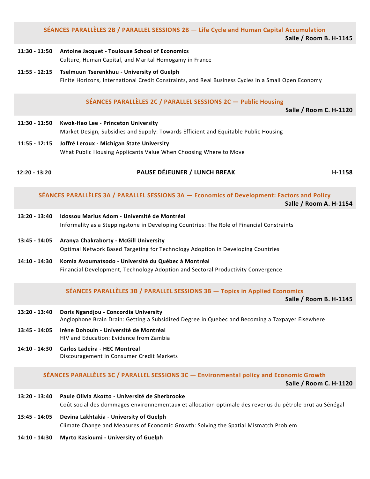#### **SÉANCES PARALLÈLES 2B / PARALLEL SESSIONS 2B — Life Cycle and Human Capital Accumulation Salle / Room B. H-1145**

#### **11:30 - 11:50 Antoine Jacquet - Toulouse School of Economics** Culture, Human Capital, and Marital Homogamy in France

**11:55 - 12:15 Tselmuun Tserenkhuu - University of Guelph** Finite Horizons, International Credit Constraints, and Real Business Cycles in a Small Open Economy

#### **SÉANCES PARALLÈLES 2C / PARALLEL SESSIONS 2C — Public Housing**

**Salle / Room C. H-1120**

- **11:30 - 11:50 Kwok-Hao Lee - Princeton University** Market Design, Subsidies and Supply: Towards Efficient and Equitable Public Housing
- **11:55 - 12:15 Joffré Leroux - Michigan State University** What Public Housing Applicants Value When Choosing Where to Move
- **12:20 - 13:20 PAUSE DÉJEUNER / LUNCH BREAK H-1158**

**SÉANCES PARALLÈLES 3A / PARALLEL SESSIONS 3A — Economics of Development: Factors and Policy Salle / Room A. H-1154**

- **13:20 - 13:40 Idossou Marius Adom - Université de Montréal** Informality as a Steppingstone in Developing Countries: The Role of Financial Constraints
- **13:45 - 14:05 Aranya Chakraborty - McGill University** Optimal Network Based Targeting for Technology Adoption in Developing Countries
- **14:10 - 14:30 Komla Avoumatsodo - Université du Québec à Montréal** Financial Development, Technology Adoption and Sectoral Productivity Convergence
	- **SÉANCES PARALLÈLES 3B / PARALLEL SESSIONS 3B — Topics in Applied Economics**

**Salle / Room B. H-1145**

- **13:20 - 13:40 Doris Ngandjou - Concordia University** Anglophone Brain Drain: Getting a Subsidized Degree in Quebec and Becoming a Taxpayer Elsewhere
- **13:45 - 14:05 Irène Dohouin - Université de Montréal** HIV and Education: Evidence from Zambia
- **14:10 - 14:30 Carlos Ladeira - HEC Montreal** Discouragement in Consumer Credit Markets

#### **SÉANCES PARALLÈLES 3C / PARALLEL SESSIONS 3C — Environmental policy and Economic Growth**

**Salle / Room C. H-1120**

- **13:20 - 13:40 Paule Olivia Akotto - Université de Sherbrooke** Coût social des dommages environnementaux et allocation optimale des revenus du pétrole brut au Sénégal
- **13:45 - 14:05 Devina Lakhtakia - University of Guelph** Climate Change and Measures of Economic Growth: Solving the Spatial Mismatch Problem
- **14:10 - 14:30 Myrto Kasioumi - University of Guelph**